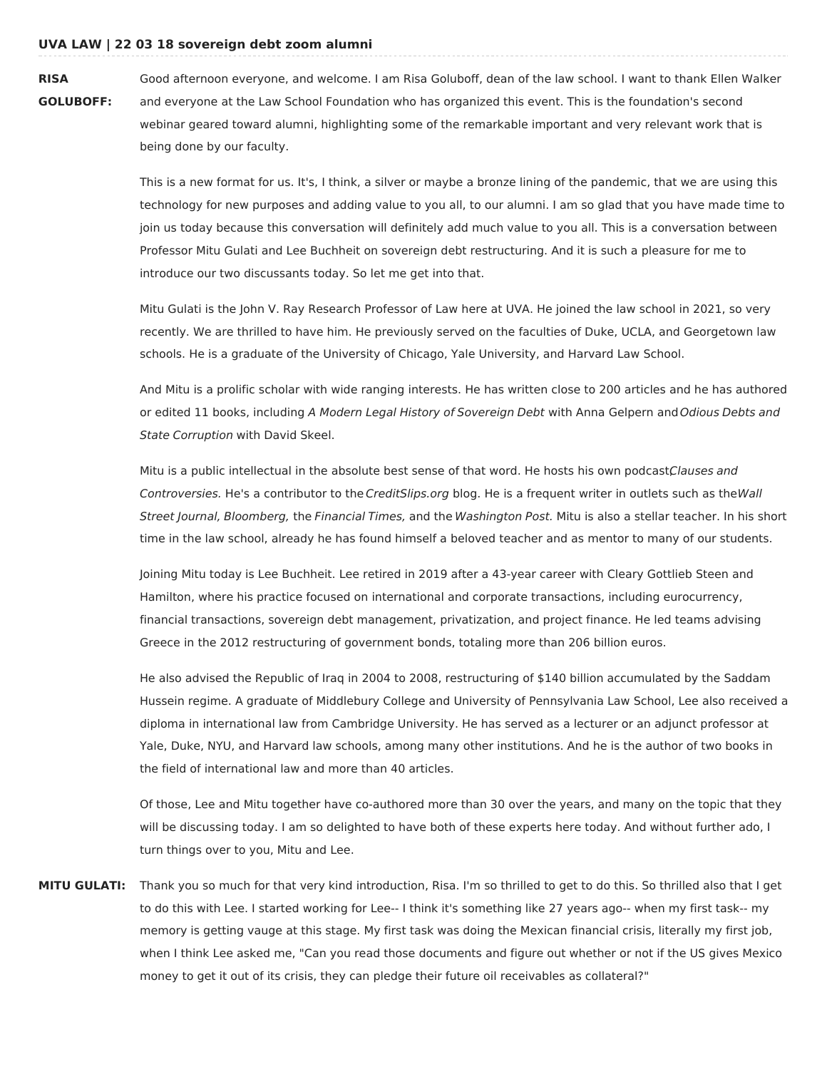## **UVA LAW | 22 03 18 sovereign debt zoom alumni**

**RISA GOLUBOFF:** Good afternoon everyone, and welcome. I am Risa Goluboff, dean of the law school. I want to thank Ellen Walker and everyone at the Law School Foundation who has organized this event. This is the foundation's second webinar geared toward alumni, highlighting some of the remarkable important and very relevant work that is being done by our faculty.

> This is a new format for us. It's, I think, a silver or maybe a bronze lining of the pandemic, that we are using this technology for new purposes and adding value to you all, to our alumni. I am so glad that you have made time to join us today because this conversation will definitely add much value to you all. This is a conversation between Professor Mitu Gulati and Lee Buchheit on sovereign debt restructuring. And it is such a pleasure for me to introduce our two discussants today. So let me get into that.

Mitu Gulati is the John V. Ray Research Professor of Law here at UVA. He joined the law school in 2021, so very recently. We are thrilled to have him. He previously served on the faculties of Duke, UCLA, and Georgetown law schools. He is a graduate of the University of Chicago, Yale University, and Harvard Law School.

And Mitu is a prolific scholar with wide ranging interests. He has written close to 200 articles and he has authored or edited 11 books, including A Modern Legal History of Sovereign Debt with Anna Gelpern and Odious Debts and State Corruption with David Skeel.

Mitu is a public intellectual in the absolute best sense of that word. He hosts his own podcastClauses and Controversies. He's a contributor to the CreditSlips.org blog. He is a frequent writer in outlets such as theWall Street Journal, Bloomberg, the Financial Times, and the Washington Post. Mitu is also a stellar teacher. In his short time in the law school, already he has found himself a beloved teacher and as mentor to many of our students.

Joining Mitu today is Lee Buchheit. Lee retired in 2019 after a 43-year career with Cleary Gottlieb Steen and Hamilton, where his practice focused on international and corporate transactions, including eurocurrency, financial transactions, sovereign debt management, privatization, and project finance. He led teams advising Greece in the 2012 restructuring of government bonds, totaling more than 206 billion euros.

He also advised the Republic of Iraq in 2004 to 2008, restructuring of \$140 billion accumulated by the Saddam Hussein regime. A graduate of Middlebury College and University of Pennsylvania Law School, Lee also received a diploma in international law from Cambridge University. He has served as a lecturer or an adjunct professor at Yale, Duke, NYU, and Harvard law schools, among many other institutions. And he is the author of two books in the field of international law and more than 40 articles.

Of those, Lee and Mitu together have co-authored more than 30 over the years, and many on the topic that they will be discussing today. I am so delighted to have both of these experts here today. And without further ado, I turn things over to you, Mitu and Lee.

**MITU GULATI:** Thank you so much for that very kind introduction, Risa. I'm so thrilled to get to do this. So thrilled also that I get to do this with Lee. I started working for Lee-- I think it's something like 27 years ago-- when my first task-- my memory is getting vauge at this stage. My first task was doing the Mexican financial crisis, literally my first job, when I think Lee asked me, "Can you read those documents and figure out whether or not if the US gives Mexico money to get it out of its crisis, they can pledge their future oil receivables as collateral?"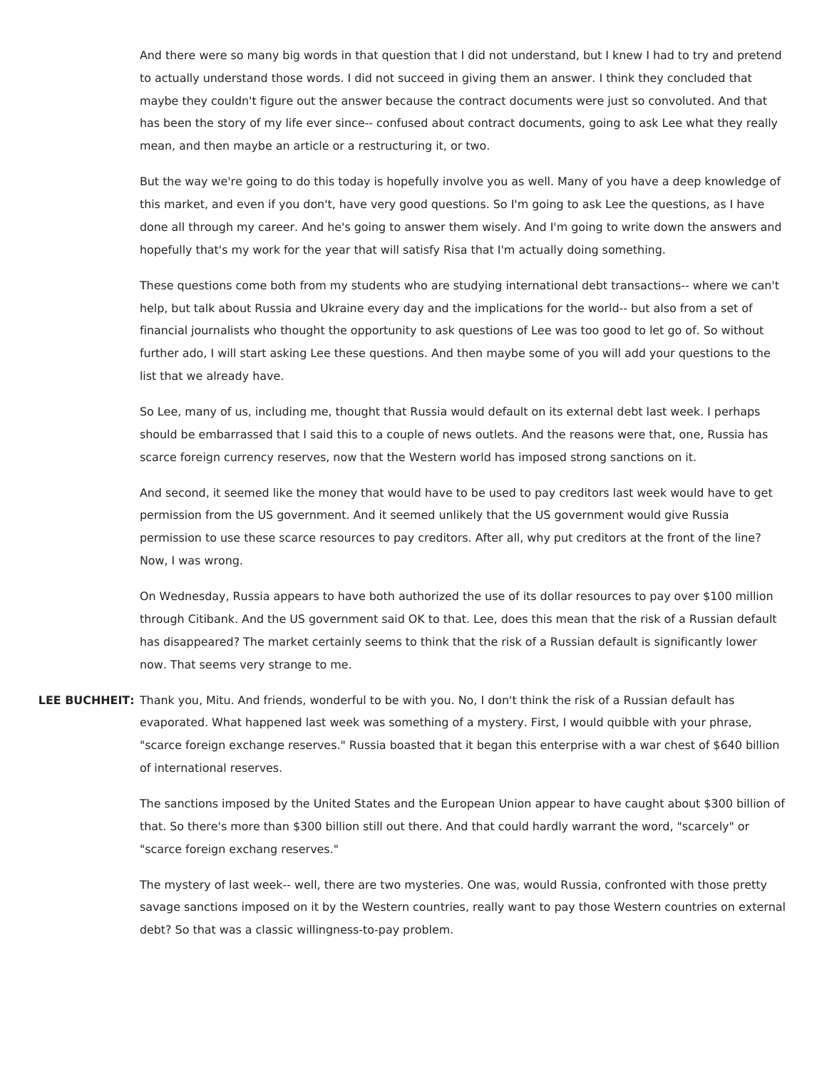And there were so many big words in that question that I did not understand, but I knew I had to try and pretend to actually understand those words. I did not succeed in giving them an answer. I think they concluded that maybe they couldn't figure out the answer because the contract documents were just so convoluted. And that has been the story of my life ever since-- confused about contract documents, going to ask Lee what they really mean, and then maybe an article or a restructuring it, or two.

But the way we're going to do this today is hopefully involve you as well. Many of you have a deep knowledge of this market, and even if you don't, have very good questions. So I'm going to ask Lee the questions, as I have done all through my career. And he's going to answer them wisely. And I'm going to write down the answers and hopefully that's my work for the year that will satisfy Risa that I'm actually doing something.

These questions come both from my students who are studying international debt transactions-- where we can't help, but talk about Russia and Ukraine every day and the implications for the world-- but also from a set of financial journalists who thought the opportunity to ask questions of Lee was too good to let go of. So without further ado, I will start asking Lee these questions. And then maybe some of you will add your questions to the list that we already have.

So Lee, many of us, including me, thought that Russia would default on its external debt last week. I perhaps should be embarrassed that I said this to a couple of news outlets. And the reasons were that, one, Russia has scarce foreign currency reserves, now that the Western world has imposed strong sanctions on it.

And second, it seemed like the money that would have to be used to pay creditors last week would have to get permission from the US government. And it seemed unlikely that the US government would give Russia permission to use these scarce resources to pay creditors. After all, why put creditors at the front of the line? Now, I was wrong.

On Wednesday, Russia appears to have both authorized the use of its dollar resources to pay over \$100 million through Citibank. And the US government said OK to that. Lee, does this mean that the risk of a Russian default has disappeared? The market certainly seems to think that the risk of a Russian default is significantly lower now. That seems very strange to me.

**LEE BUCHHEIT:** Thank you, Mitu. And friends, wonderful to be with you. No, I don't think the risk of a Russian default has evaporated. What happened last week was something of a mystery. First, I would quibble with your phrase, "scarce foreign exchange reserves." Russia boasted that it began this enterprise with a war chest of \$640 billion of international reserves.

> The sanctions imposed by the United States and the European Union appear to have caught about \$300 billion of that. So there's more than \$300 billion still out there. And that could hardly warrant the word, "scarcely" or "scarce foreign exchang reserves."

> The mystery of last week-- well, there are two mysteries. One was, would Russia, confronted with those pretty savage sanctions imposed on it by the Western countries, really want to pay those Western countries on external debt? So that was a classic willingness-to-pay problem.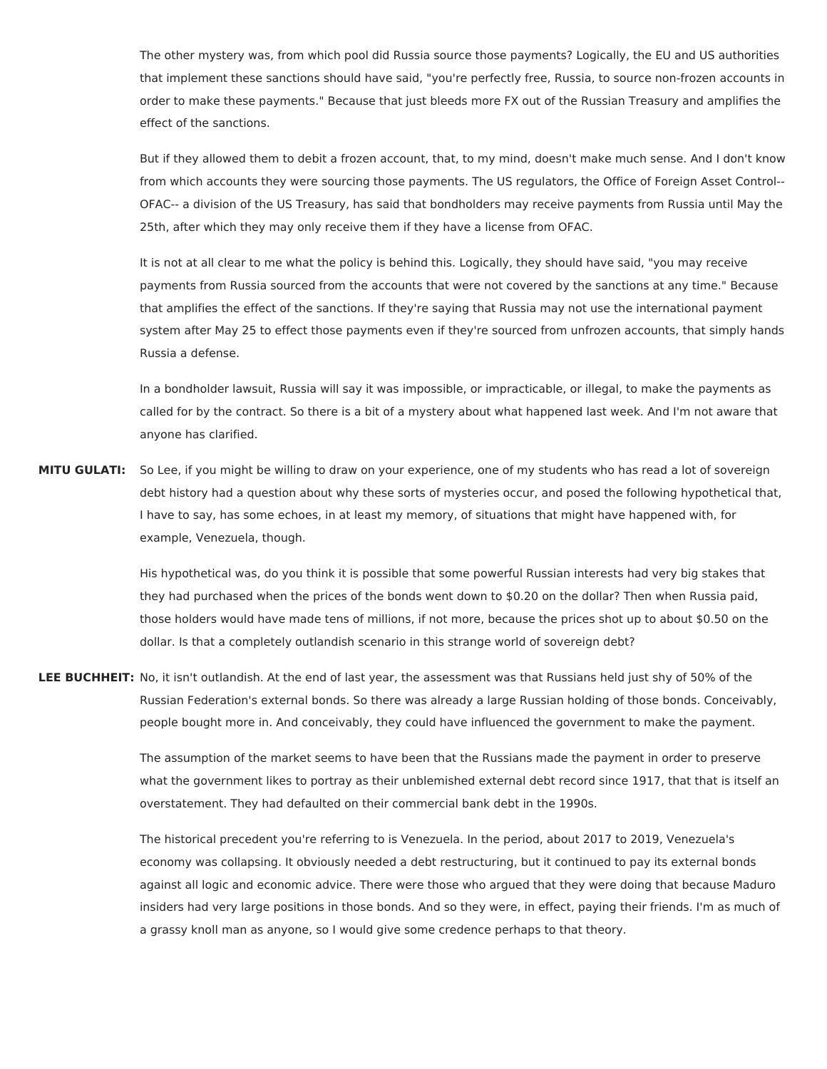The other mystery was, from which pool did Russia source those payments? Logically, the EU and US authorities that implement these sanctions should have said, "you're perfectly free, Russia, to source non-frozen accounts in order to make these payments." Because that just bleeds more FX out of the Russian Treasury and amplifies the effect of the sanctions.

But if they allowed them to debit a frozen account, that, to my mind, doesn't make much sense. And I don't know from which accounts they were sourcing those payments. The US regulators, the Office of Foreign Asset Control-- OFAC-- a division of the US Treasury, has said that bondholders may receive payments from Russia until May the 25th, after which they may only receive them if they have a license from OFAC.

It is not at all clear to me what the policy is behind this. Logically, they should have said, "you may receive payments from Russia sourced from the accounts that were not covered by the sanctions at any time." Because that amplifies the effect of the sanctions. If they're saying that Russia may not use the international payment system after May 25 to effect those payments even if they're sourced from unfrozen accounts, that simply hands Russia a defense.

In a bondholder lawsuit, Russia will say it was impossible, or impracticable, or illegal, to make the payments as called for by the contract. So there is a bit of a mystery about what happened last week. And I'm not aware that anyone has clarified.

**MITU GULATI:** So Lee, if you might be willing to draw on your experience, one of my students who has read a lot of sovereign debt history had a question about why these sorts of mysteries occur, and posed the following hypothetical that, I have to say, has some echoes, in at least my memory, of situations that might have happened with, for example, Venezuela, though.

> His hypothetical was, do you think it is possible that some powerful Russian interests had very big stakes that they had purchased when the prices of the bonds went down to \$0.20 on the dollar? Then when Russia paid, those holders would have made tens of millions, if not more, because the prices shot up to about \$0.50 on the dollar. Is that a completely outlandish scenario in this strange world of sovereign debt?

**LEE BUCHHEIT:** No, it isn't outlandish. At the end of last year, the assessment was that Russians held just shy of 50% of the Russian Federation's external bonds. So there was already a large Russian holding of those bonds. Conceivably, people bought more in. And conceivably, they could have influenced the government to make the payment.

> The assumption of the market seems to have been that the Russians made the payment in order to preserve what the government likes to portray as their unblemished external debt record since 1917, that that is itself an overstatement. They had defaulted on their commercial bank debt in the 1990s.

> The historical precedent you're referring to is Venezuela. In the period, about 2017 to 2019, Venezuela's economy was collapsing. It obviously needed a debt restructuring, but it continued to pay its external bonds against all logic and economic advice. There were those who argued that they were doing that because Maduro insiders had very large positions in those bonds. And so they were, in effect, paying their friends. I'm as much of a grassy knoll man as anyone, so I would give some credence perhaps to that theory.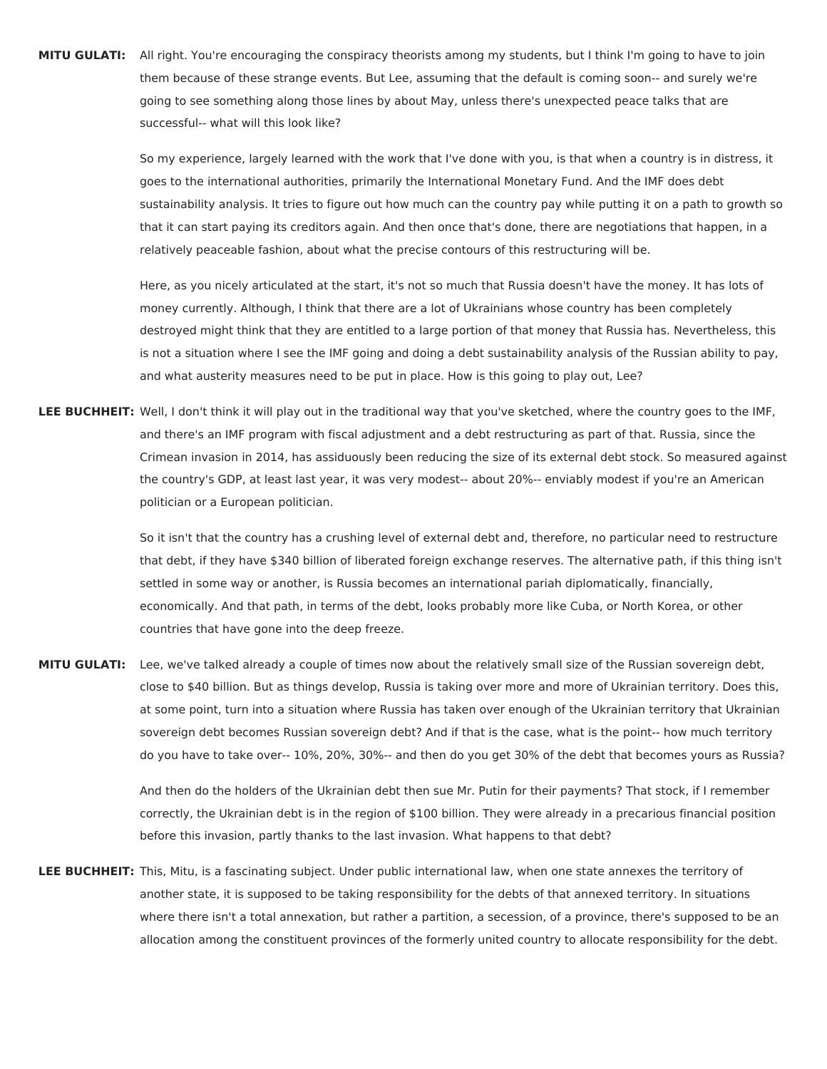**MITU GULATI:** All right. You're encouraging the conspiracy theorists among my students, but I think I'm going to have to join them because of these strange events. But Lee, assuming that the default is coming soon-- and surely we're going to see something along those lines by about May, unless there's unexpected peace talks that are successful-- what will this look like?

> So my experience, largely learned with the work that I've done with you, is that when a country is in distress, it goes to the international authorities, primarily the International Monetary Fund. And the IMF does debt sustainability analysis. It tries to figure out how much can the country pay while putting it on a path to growth so that it can start paying its creditors again. And then once that's done, there are negotiations that happen, in a relatively peaceable fashion, about what the precise contours of this restructuring will be.

> Here, as you nicely articulated at the start, it's not so much that Russia doesn't have the money. It has lots of money currently. Although, I think that there are a lot of Ukrainians whose country has been completely destroyed might think that they are entitled to a large portion of that money that Russia has. Nevertheless, this is not a situation where I see the IMF going and doing a debt sustainability analysis of the Russian ability to pay, and what austerity measures need to be put in place. How is this going to play out, Lee?

**LEE BUCHHEIT:** Well, I don't think it will play out in the traditional way that you've sketched, where the country goes to the IMF, and there's an IMF program with fiscal adjustment and a debt restructuring as part of that. Russia, since the Crimean invasion in 2014, has assiduously been reducing the size of its external debt stock. So measured against the country's GDP, at least last year, it was very modest-- about 20%-- enviably modest if you're an American politician or a European politician.

> So it isn't that the country has a crushing level of external debt and, therefore, no particular need to restructure that debt, if they have \$340 billion of liberated foreign exchange reserves. The alternative path, if this thing isn't settled in some way or another, is Russia becomes an international pariah diplomatically, financially, economically. And that path, in terms of the debt, looks probably more like Cuba, or North Korea, or other countries that have gone into the deep freeze.

**MITU GULATI:** Lee, we've talked already a couple of times now about the relatively small size of the Russian sovereign debt, close to \$40 billion. But as things develop, Russia is taking over more and more of Ukrainian territory. Does this, at some point, turn into a situation where Russia has taken over enough of the Ukrainian territory that Ukrainian sovereign debt becomes Russian sovereign debt? And if that is the case, what is the point-- how much territory do you have to take over-- 10%, 20%, 30%-- and then do you get 30% of the debt that becomes yours as Russia?

> And then do the holders of the Ukrainian debt then sue Mr. Putin for their payments? That stock, if I remember correctly, the Ukrainian debt is in the region of \$100 billion. They were already in a precarious financial position before this invasion, partly thanks to the last invasion. What happens to that debt?

**LEE BUCHHEIT:** This, Mitu, is a fascinating subject. Under public international law, when one state annexes the territory of another state, it is supposed to be taking responsibility for the debts of that annexed territory. In situations where there isn't a total annexation, but rather a partition, a secession, of a province, there's supposed to be an allocation among the constituent provinces of the formerly united country to allocate responsibility for the debt.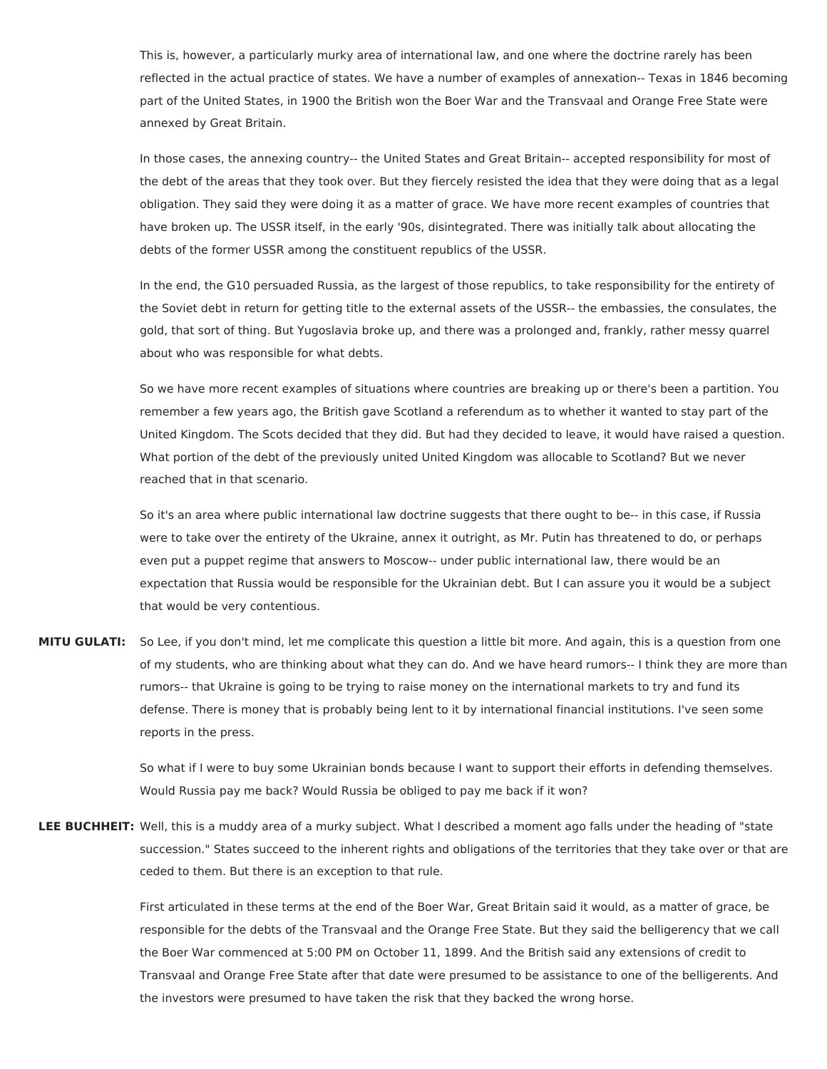This is, however, a particularly murky area of international law, and one where the doctrine rarely has been reflected in the actual practice of states. We have a number of examples of annexation-- Texas in 1846 becoming part of the United States, in 1900 the British won the Boer War and the Transvaal and Orange Free State were annexed by Great Britain.

In those cases, the annexing country-- the United States and Great Britain-- accepted responsibility for most of the debt of the areas that they took over. But they fiercely resisted the idea that they were doing that as a legal obligation. They said they were doing it as a matter of grace. We have more recent examples of countries that have broken up. The USSR itself, in the early '90s, disintegrated. There was initially talk about allocating the debts of the former USSR among the constituent republics of the USSR.

In the end, the G10 persuaded Russia, as the largest of those republics, to take responsibility for the entirety of the Soviet debt in return for getting title to the external assets of the USSR-- the embassies, the consulates, the gold, that sort of thing. But Yugoslavia broke up, and there was a prolonged and, frankly, rather messy quarrel about who was responsible for what debts.

So we have more recent examples of situations where countries are breaking up or there's been a partition. You remember a few years ago, the British gave Scotland a referendum as to whether it wanted to stay part of the United Kingdom. The Scots decided that they did. But had they decided to leave, it would have raised a question. What portion of the debt of the previously united United Kingdom was allocable to Scotland? But we never reached that in that scenario.

So it's an area where public international law doctrine suggests that there ought to be-- in this case, if Russia were to take over the entirety of the Ukraine, annex it outright, as Mr. Putin has threatened to do, or perhaps even put a puppet regime that answers to Moscow-- under public international law, there would be an expectation that Russia would be responsible for the Ukrainian debt. But I can assure you it would be a subject that would be very contentious.

**MITU GULATI:** So Lee, if you don't mind, let me complicate this question a little bit more. And again, this is a question from one of my students, who are thinking about what they can do. And we have heard rumors-- I think they are more than rumors-- that Ukraine is going to be trying to raise money on the international markets to try and fund its defense. There is money that is probably being lent to it by international financial institutions. I've seen some reports in the press.

> So what if I were to buy some Ukrainian bonds because I want to support their efforts in defending themselves. Would Russia pay me back? Would Russia be obliged to pay me back if it won?

**LEE BUCHHEIT:** Well, this is a muddy area of a murky subject. What I described a moment ago falls under the heading of "state succession." States succeed to the inherent rights and obligations of the territories that they take over or that are ceded to them. But there is an exception to that rule.

> First articulated in these terms at the end of the Boer War, Great Britain said it would, as a matter of grace, be responsible for the debts of the Transvaal and the Orange Free State. But they said the belligerency that we call the Boer War commenced at 5:00 PM on October 11, 1899. And the British said any extensions of credit to Transvaal and Orange Free State after that date were presumed to be assistance to one of the belligerents. And the investors were presumed to have taken the risk that they backed the wrong horse.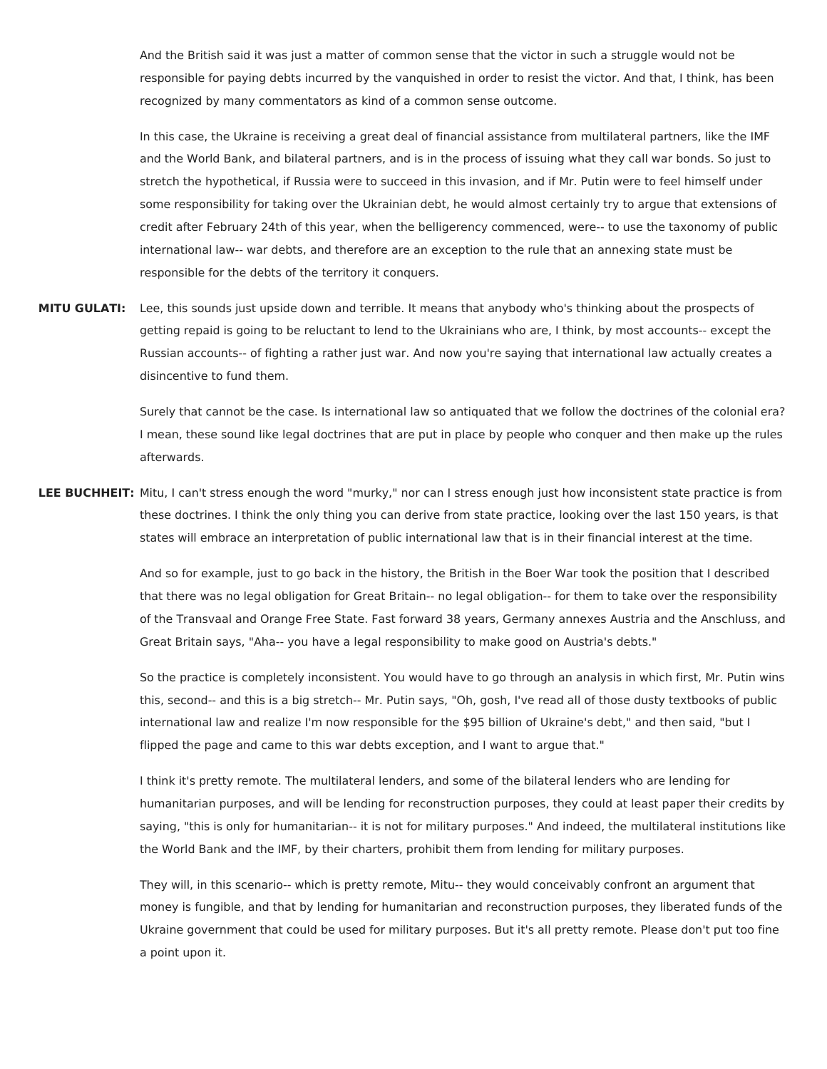And the British said it was just a matter of common sense that the victor in such a struggle would not be responsible for paying debts incurred by the vanquished in order to resist the victor. And that, I think, has been recognized by many commentators as kind of a common sense outcome.

In this case, the Ukraine is receiving a great deal of financial assistance from multilateral partners, like the IMF and the World Bank, and bilateral partners, and is in the process of issuing what they call war bonds. So just to stretch the hypothetical, if Russia were to succeed in this invasion, and if Mr. Putin were to feel himself under some responsibility for taking over the Ukrainian debt, he would almost certainly try to argue that extensions of credit after February 24th of this year, when the belligerency commenced, were-- to use the taxonomy of public international law-- war debts, and therefore are an exception to the rule that an annexing state must be responsible for the debts of the territory it conquers.

**MITU GULATI:** Lee, this sounds just upside down and terrible. It means that anybody who's thinking about the prospects of getting repaid is going to be reluctant to lend to the Ukrainians who are, I think, by most accounts-- except the Russian accounts-- of fighting a rather just war. And now you're saying that international law actually creates a disincentive to fund them.

> Surely that cannot be the case. Is international law so antiquated that we follow the doctrines of the colonial era? I mean, these sound like legal doctrines that are put in place by people who conquer and then make up the rules afterwards.

**LEE BUCHHEIT:** Mitu, I can't stress enough the word "murky," nor can I stress enough just how inconsistent state practice is from these doctrines. I think the only thing you can derive from state practice, looking over the last 150 years, is that states will embrace an interpretation of public international law that is in their financial interest at the time.

> And so for example, just to go back in the history, the British in the Boer War took the position that I described that there was no legal obligation for Great Britain-- no legal obligation-- for them to take over the responsibility of the Transvaal and Orange Free State. Fast forward 38 years, Germany annexes Austria and the Anschluss, and Great Britain says, "Aha-- you have a legal responsibility to make good on Austria's debts."

> So the practice is completely inconsistent. You would have to go through an analysis in which first, Mr. Putin wins this, second-- and this is a big stretch-- Mr. Putin says, "Oh, gosh, I've read all of those dusty textbooks of public international law and realize I'm now responsible for the \$95 billion of Ukraine's debt," and then said, "but I flipped the page and came to this war debts exception, and I want to argue that."

> I think it's pretty remote. The multilateral lenders, and some of the bilateral lenders who are lending for humanitarian purposes, and will be lending for reconstruction purposes, they could at least paper their credits by saying, "this is only for humanitarian-- it is not for military purposes." And indeed, the multilateral institutions like the World Bank and the IMF, by their charters, prohibit them from lending for military purposes.

> They will, in this scenario-- which is pretty remote, Mitu-- they would conceivably confront an argument that money is fungible, and that by lending for humanitarian and reconstruction purposes, they liberated funds of the Ukraine government that could be used for military purposes. But it's all pretty remote. Please don't put too fine a point upon it.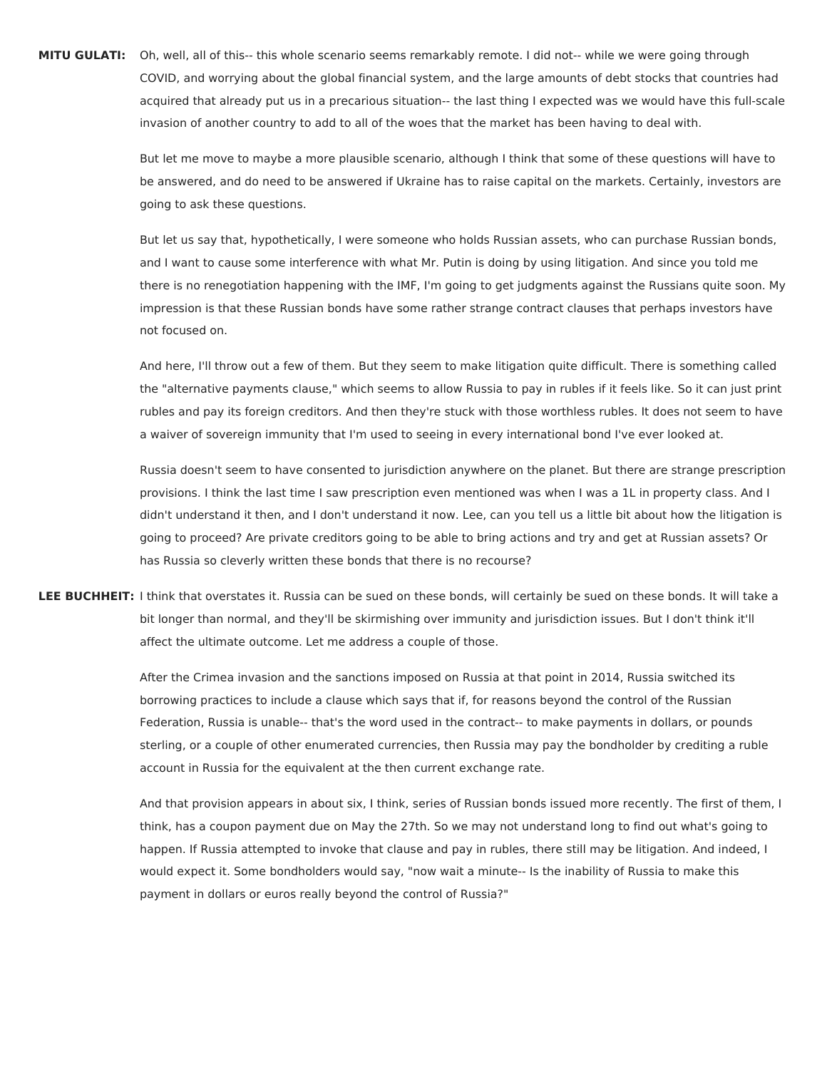**MITU GULATI:** Oh, well, all of this-- this whole scenario seems remarkably remote. I did not-- while we were going through COVID, and worrying about the global financial system, and the large amounts of debt stocks that countries had acquired that already put us in a precarious situation-- the last thing I expected was we would have this full-scale invasion of another country to add to all of the woes that the market has been having to deal with.

> But let me move to maybe a more plausible scenario, although I think that some of these questions will have to be answered, and do need to be answered if Ukraine has to raise capital on the markets. Certainly, investors are going to ask these questions.

> But let us say that, hypothetically, I were someone who holds Russian assets, who can purchase Russian bonds, and I want to cause some interference with what Mr. Putin is doing by using litigation. And since you told me there is no renegotiation happening with the IMF, I'm going to get judgments against the Russians quite soon. My impression is that these Russian bonds have some rather strange contract clauses that perhaps investors have not focused on.

> And here, I'll throw out a few of them. But they seem to make litigation quite difficult. There is something called the "alternative payments clause," which seems to allow Russia to pay in rubles if it feels like. So it can just print rubles and pay its foreign creditors. And then they're stuck with those worthless rubles. It does not seem to have a waiver of sovereign immunity that I'm used to seeing in every international bond I've ever looked at.

> Russia doesn't seem to have consented to jurisdiction anywhere on the planet. But there are strange prescription provisions. I think the last time I saw prescription even mentioned was when I was a 1L in property class. And I didn't understand it then, and I don't understand it now. Lee, can you tell us a little bit about how the litigation is going to proceed? Are private creditors going to be able to bring actions and try and get at Russian assets? Or has Russia so cleverly written these bonds that there is no recourse?

**LEE BUCHHEIT:** I think that overstates it. Russia can be sued on these bonds, will certainly be sued on these bonds. It will take a bit longer than normal, and they'll be skirmishing over immunity and jurisdiction issues. But I don't think it'll affect the ultimate outcome. Let me address a couple of those.

> After the Crimea invasion and the sanctions imposed on Russia at that point in 2014, Russia switched its borrowing practices to include a clause which says that if, for reasons beyond the control of the Russian Federation, Russia is unable-- that's the word used in the contract-- to make payments in dollars, or pounds sterling, or a couple of other enumerated currencies, then Russia may pay the bondholder by crediting a ruble account in Russia for the equivalent at the then current exchange rate.

And that provision appears in about six, I think, series of Russian bonds issued more recently. The first of them, I think, has a coupon payment due on May the 27th. So we may not understand long to find out what's going to happen. If Russia attempted to invoke that clause and pay in rubles, there still may be litigation. And indeed, I would expect it. Some bondholders would say, "now wait a minute-- Is the inability of Russia to make this payment in dollars or euros really beyond the control of Russia?"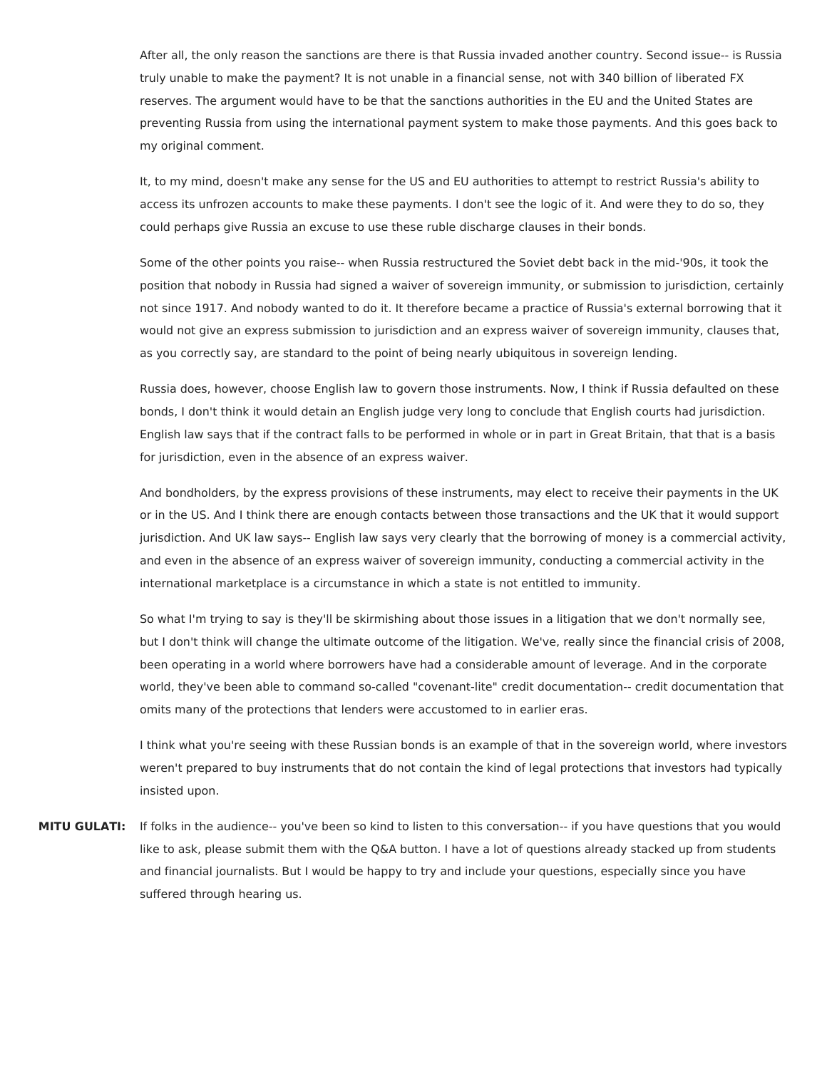After all, the only reason the sanctions are there is that Russia invaded another country. Second issue-- is Russia truly unable to make the payment? It is not unable in a financial sense, not with 340 billion of liberated FX reserves. The argument would have to be that the sanctions authorities in the EU and the United States are preventing Russia from using the international payment system to make those payments. And this goes back to my original comment.

It, to my mind, doesn't make any sense for the US and EU authorities to attempt to restrict Russia's ability to access its unfrozen accounts to make these payments. I don't see the logic of it. And were they to do so, they could perhaps give Russia an excuse to use these ruble discharge clauses in their bonds.

Some of the other points you raise-- when Russia restructured the Soviet debt back in the mid-'90s, it took the position that nobody in Russia had signed a waiver of sovereign immunity, or submission to jurisdiction, certainly not since 1917. And nobody wanted to do it. It therefore became a practice of Russia's external borrowing that it would not give an express submission to jurisdiction and an express waiver of sovereign immunity, clauses that, as you correctly say, are standard to the point of being nearly ubiquitous in sovereign lending.

Russia does, however, choose English law to govern those instruments. Now, I think if Russia defaulted on these bonds, I don't think it would detain an English judge very long to conclude that English courts had jurisdiction. English law says that if the contract falls to be performed in whole or in part in Great Britain, that that is a basis for jurisdiction, even in the absence of an express waiver.

And bondholders, by the express provisions of these instruments, may elect to receive their payments in the UK or in the US. And I think there are enough contacts between those transactions and the UK that it would support jurisdiction. And UK law says-- English law says very clearly that the borrowing of money is a commercial activity, and even in the absence of an express waiver of sovereign immunity, conducting a commercial activity in the international marketplace is a circumstance in which a state is not entitled to immunity.

So what I'm trying to say is they'll be skirmishing about those issues in a litigation that we don't normally see, but I don't think will change the ultimate outcome of the litigation. We've, really since the financial crisis of 2008, been operating in a world where borrowers have had a considerable amount of leverage. And in the corporate world, they've been able to command so-called "covenant-lite" credit documentation-- credit documentation that omits many of the protections that lenders were accustomed to in earlier eras.

I think what you're seeing with these Russian bonds is an example of that in the sovereign world, where investors weren't prepared to buy instruments that do not contain the kind of legal protections that investors had typically insisted upon.

**MITU GULATI:** If folks in the audience-- you've been so kind to listen to this conversation-- if you have questions that you would like to ask, please submit them with the Q&A button. I have a lot of questions already stacked up from students and financial journalists. But I would be happy to try and include your questions, especially since you have suffered through hearing us.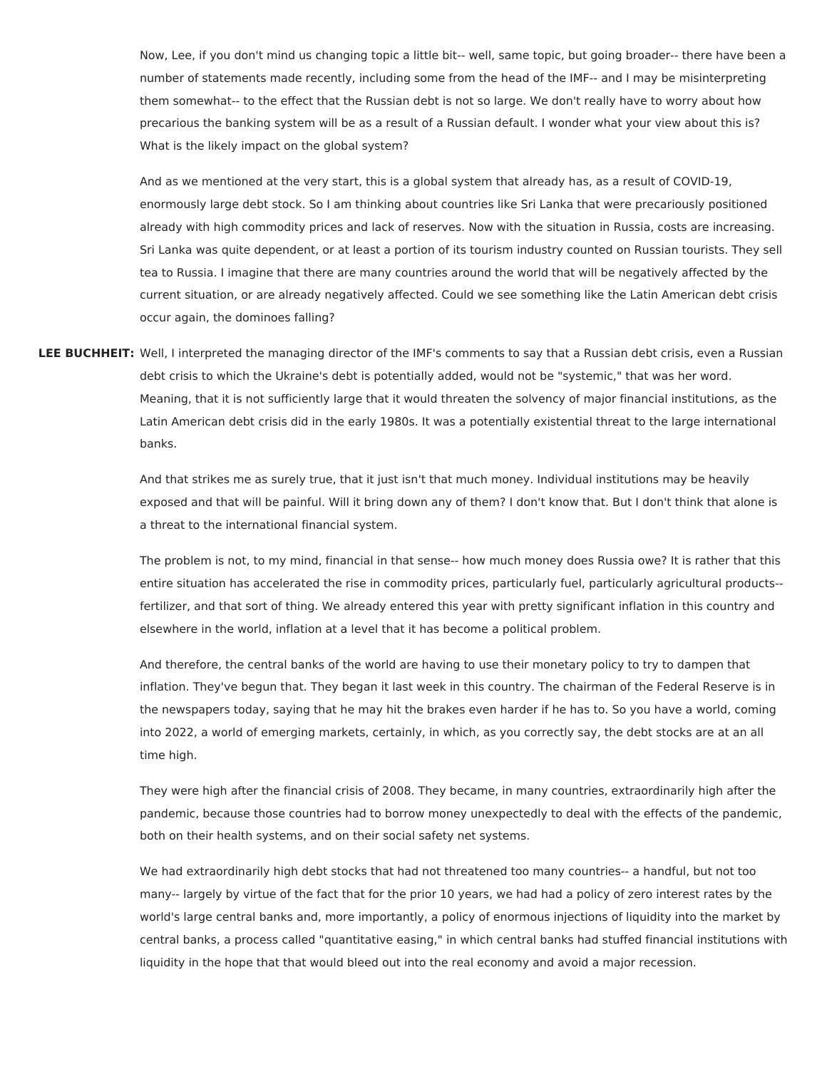Now, Lee, if you don't mind us changing topic a little bit-- well, same topic, but going broader-- there have been a number of statements made recently, including some from the head of the IMF-- and I may be misinterpreting them somewhat-- to the effect that the Russian debt is not so large. We don't really have to worry about how precarious the banking system will be as a result of a Russian default. I wonder what your view about this is? What is the likely impact on the global system?

And as we mentioned at the very start, this is a global system that already has, as a result of COVID-19, enormously large debt stock. So I am thinking about countries like Sri Lanka that were precariously positioned already with high commodity prices and lack of reserves. Now with the situation in Russia, costs are increasing. Sri Lanka was quite dependent, or at least a portion of its tourism industry counted on Russian tourists. They sell tea to Russia. I imagine that there are many countries around the world that will be negatively affected by the current situation, or are already negatively affected. Could we see something like the Latin American debt crisis occur again, the dominoes falling?

**LEE BUCHHEIT:** Well, I interpreted the managing director of the IMF's comments to say that a Russian debt crisis, even a Russian debt crisis to which the Ukraine's debt is potentially added, would not be "systemic," that was her word. Meaning, that it is not sufficiently large that it would threaten the solvency of major financial institutions, as the Latin American debt crisis did in the early 1980s. It was a potentially existential threat to the large international banks.

> And that strikes me as surely true, that it just isn't that much money. Individual institutions may be heavily exposed and that will be painful. Will it bring down any of them? I don't know that. But I don't think that alone is a threat to the international financial system.

> The problem is not, to my mind, financial in that sense-- how much money does Russia owe? It is rather that this entire situation has accelerated the rise in commodity prices, particularly fuel, particularly agricultural products- fertilizer, and that sort of thing. We already entered this year with pretty significant inflation in this country and elsewhere in the world, inflation at a level that it has become a political problem.

> And therefore, the central banks of the world are having to use their monetary policy to try to dampen that inflation. They've begun that. They began it last week in this country. The chairman of the Federal Reserve is in the newspapers today, saying that he may hit the brakes even harder if he has to. So you have a world, coming into 2022, a world of emerging markets, certainly, in which, as you correctly say, the debt stocks are at an all time high.

> They were high after the financial crisis of 2008. They became, in many countries, extraordinarily high after the pandemic, because those countries had to borrow money unexpectedly to deal with the effects of the pandemic, both on their health systems, and on their social safety net systems.

> We had extraordinarily high debt stocks that had not threatened too many countries-- a handful, but not too many-- largely by virtue of the fact that for the prior 10 years, we had had a policy of zero interest rates by the world's large central banks and, more importantly, a policy of enormous injections of liquidity into the market by central banks, a process called "quantitative easing," in which central banks had stuffed financial institutions with liquidity in the hope that that would bleed out into the real economy and avoid a major recession.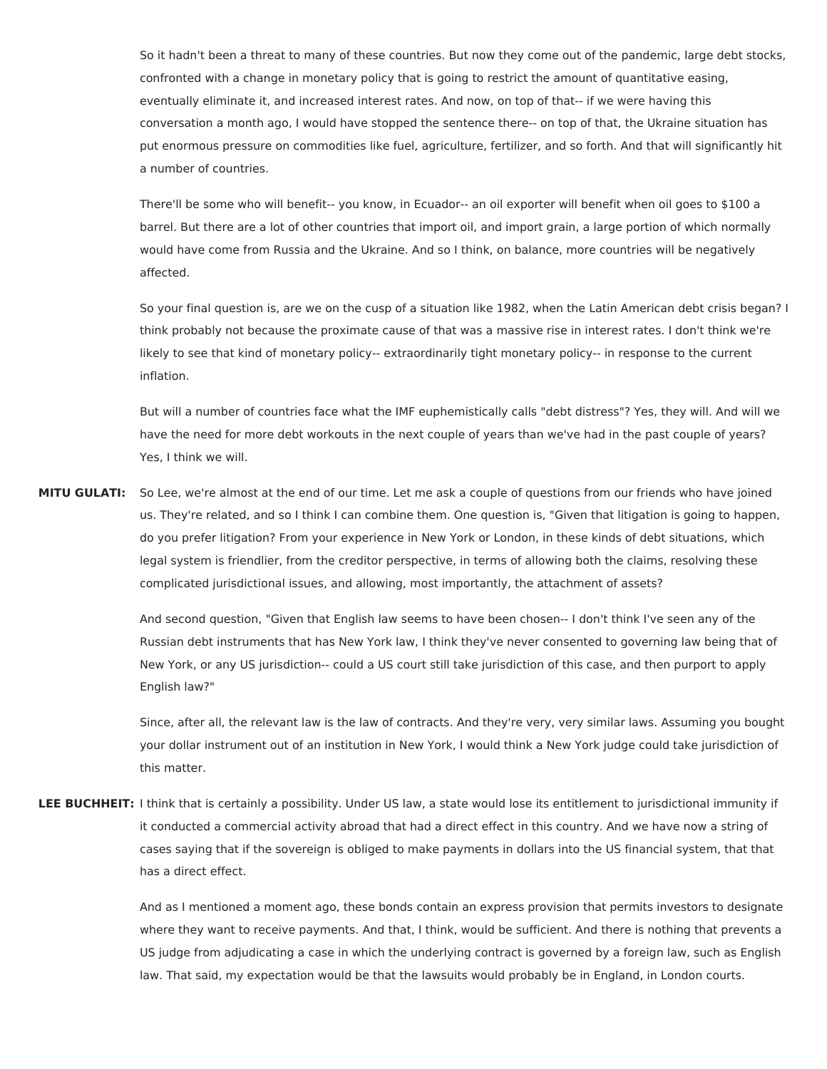So it hadn't been a threat to many of these countries. But now they come out of the pandemic, large debt stocks, confronted with a change in monetary policy that is going to restrict the amount of quantitative easing, eventually eliminate it, and increased interest rates. And now, on top of that-- if we were having this conversation a month ago, I would have stopped the sentence there-- on top of that, the Ukraine situation has put enormous pressure on commodities like fuel, agriculture, fertilizer, and so forth. And that will significantly hit a number of countries.

There'll be some who will benefit-- you know, in Ecuador-- an oil exporter will benefit when oil goes to \$100 a barrel. But there are a lot of other countries that import oil, and import grain, a large portion of which normally would have come from Russia and the Ukraine. And so I think, on balance, more countries will be negatively affected.

So your final question is, are we on the cusp of a situation like 1982, when the Latin American debt crisis began? I think probably not because the proximate cause of that was a massive rise in interest rates. I don't think we're likely to see that kind of monetary policy-- extraordinarily tight monetary policy-- in response to the current inflation.

But will a number of countries face what the IMF euphemistically calls "debt distress"? Yes, they will. And will we have the need for more debt workouts in the next couple of years than we've had in the past couple of years? Yes, I think we will.

**MITU GULATI:** So Lee, we're almost at the end of our time. Let me ask a couple of questions from our friends who have joined us. They're related, and so I think I can combine them. One question is, "Given that litigation is going to happen, do you prefer litigation? From your experience in New York or London, in these kinds of debt situations, which legal system is friendlier, from the creditor perspective, in terms of allowing both the claims, resolving these complicated jurisdictional issues, and allowing, most importantly, the attachment of assets?

> And second question, "Given that English law seems to have been chosen-- I don't think I've seen any of the Russian debt instruments that has New York law, I think they've never consented to governing law being that of New York, or any US jurisdiction-- could a US court still take jurisdiction of this case, and then purport to apply English law?"

> Since, after all, the relevant law is the law of contracts. And they're very, very similar laws. Assuming you bought your dollar instrument out of an institution in New York, I would think a New York judge could take jurisdiction of this matter.

**LEE BUCHHEIT:** I think that is certainly a possibility. Under US law, a state would lose its entitlement to jurisdictional immunity if it conducted a commercial activity abroad that had a direct effect in this country. And we have now a string of cases saying that if the sovereign is obliged to make payments in dollars into the US financial system, that that has a direct effect.

> And as I mentioned a moment ago, these bonds contain an express provision that permits investors to designate where they want to receive payments. And that, I think, would be sufficient. And there is nothing that prevents a US judge from adjudicating a case in which the underlying contract is governed by a foreign law, such as English law. That said, my expectation would be that the lawsuits would probably be in England, in London courts.